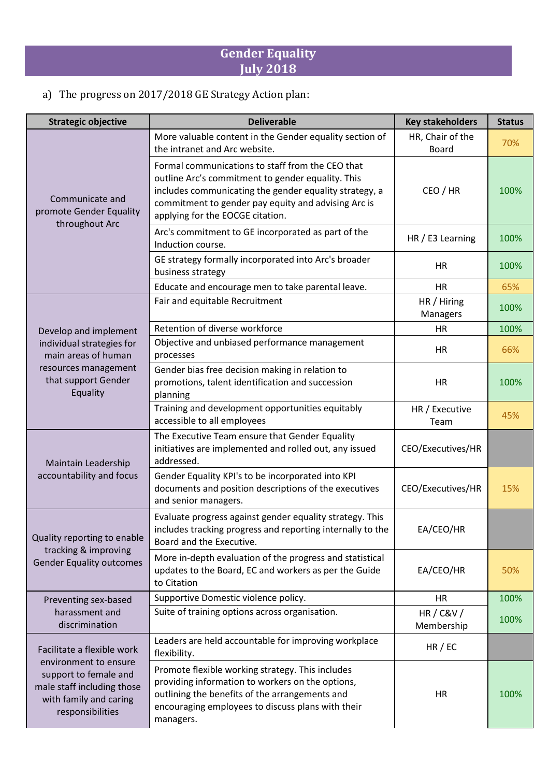## **Gender Equality July 2018**

## a) The progress on 2017/2018 GE Strategy Action plan:

| <b>Strategic objective</b>                                                                                                                               | <b>Deliverable</b>                                                                                                                                                                                                                                         | <b>Key stakeholders</b>          | <b>Status</b> |
|----------------------------------------------------------------------------------------------------------------------------------------------------------|------------------------------------------------------------------------------------------------------------------------------------------------------------------------------------------------------------------------------------------------------------|----------------------------------|---------------|
| Communicate and<br>promote Gender Equality                                                                                                               | More valuable content in the Gender equality section of<br>the intranet and Arc website.                                                                                                                                                                   | HR, Chair of the<br><b>Board</b> | 70%           |
|                                                                                                                                                          | Formal communications to staff from the CEO that<br>outline Arc's commitment to gender equality. This<br>includes communicating the gender equality strategy, a<br>commitment to gender pay equity and advising Arc is<br>applying for the EOCGE citation. | CEO / HR                         | 100%          |
| throughout Arc                                                                                                                                           | Arc's commitment to GE incorporated as part of the<br>Induction course.                                                                                                                                                                                    | HR / E3 Learning                 | 100%          |
|                                                                                                                                                          | GE strategy formally incorporated into Arc's broader<br>business strategy                                                                                                                                                                                  | HR                               | 100%          |
|                                                                                                                                                          | Educate and encourage men to take parental leave.                                                                                                                                                                                                          | <b>HR</b>                        | 65%           |
|                                                                                                                                                          | Fair and equitable Recruitment                                                                                                                                                                                                                             | HR / Hiring<br>Managers          | 100%          |
| Develop and implement                                                                                                                                    | Retention of diverse workforce                                                                                                                                                                                                                             | <b>HR</b>                        | 100%          |
| individual strategies for<br>main areas of human<br>resources management<br>that support Gender<br>Equality                                              | Objective and unbiased performance management<br>processes                                                                                                                                                                                                 | HR                               | 66%           |
|                                                                                                                                                          | Gender bias free decision making in relation to<br>promotions, talent identification and succession<br>planning                                                                                                                                            | <b>HR</b>                        | 100%          |
|                                                                                                                                                          | Training and development opportunities equitably<br>accessible to all employees                                                                                                                                                                            | HR / Executive<br>Team           | 45%           |
| Maintain Leadership<br>accountability and focus                                                                                                          | The Executive Team ensure that Gender Equality<br>initiatives are implemented and rolled out, any issued<br>addressed.                                                                                                                                     | CEO/Executives/HR                |               |
|                                                                                                                                                          | Gender Equality KPI's to be incorporated into KPI<br>documents and position descriptions of the executives<br>and senior managers.                                                                                                                         | CEO/Executives/HR                | 15%           |
| Quality reporting to enable<br>tracking & improving<br><b>Gender Equality outcomes</b>                                                                   | Evaluate progress against gender equality strategy. This<br>includes tracking progress and reporting internally to the<br>Board and the Executive.                                                                                                         | EA/CEO/HR                        |               |
|                                                                                                                                                          | More in-depth evaluation of the progress and statistical<br>updates to the Board, EC and workers as per the Guide<br>to Citation                                                                                                                           | EA/CEO/HR                        | 50%           |
| Preventing sex-based<br>harassment and<br>discrimination                                                                                                 | Supportive Domestic violence policy.                                                                                                                                                                                                                       | <b>HR</b>                        | 100%          |
|                                                                                                                                                          | Suite of training options across organisation.                                                                                                                                                                                                             | <b>HR/C&amp;V/</b><br>Membership | 100%          |
| Facilitate a flexible work<br>environment to ensure<br>support to female and<br>male staff including those<br>with family and caring<br>responsibilities | Leaders are held accountable for improving workplace<br>flexibility.                                                                                                                                                                                       | HR / EC                          |               |
|                                                                                                                                                          | Promote flexible working strategy. This includes<br>providing information to workers on the options,<br>outlining the benefits of the arrangements and<br>encouraging employees to discuss plans with their<br>managers.                                   | HR                               | 100%          |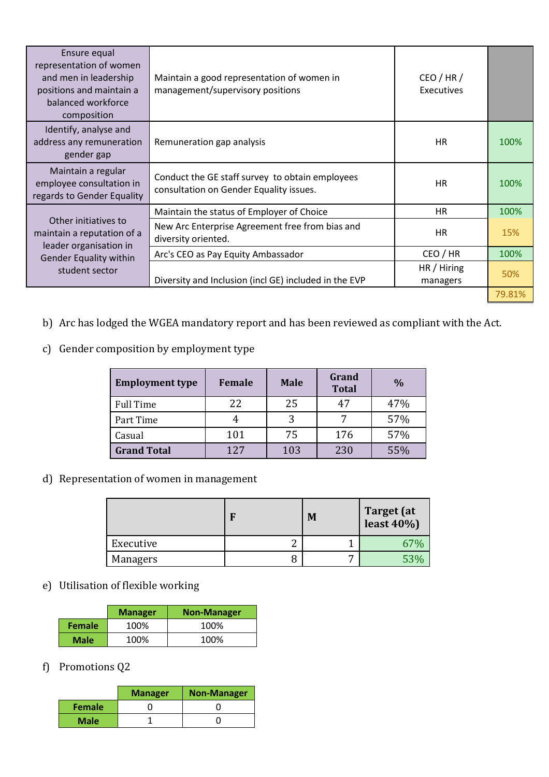| Ensure equal<br>representation of women<br>and men in leadership<br>positions and maintain a<br>balanced workforce<br>composition | Maintain a good representation of women in<br>management/supervisory positions             | CEO/HR/<br>Executives   |        |
|-----------------------------------------------------------------------------------------------------------------------------------|--------------------------------------------------------------------------------------------|-------------------------|--------|
| Identify, analyse and<br>address any remuneration<br>gender gap                                                                   | Remuneration gap analysis                                                                  | HR                      | 100%   |
| Maintain a regular<br>employee consultation in<br>regards to Gender Equality                                                      | Conduct the GE staff survey to obtain employees<br>consultation on Gender Equality issues. | <b>HR</b>               | 100%   |
|                                                                                                                                   | Maintain the status of Employer of Choice                                                  | HR                      | 100%   |
| Other initiatives to<br>maintain a reputation of a<br>leader organisation in<br><b>Gender Equality within</b><br>student sector   | New Arc Enterprise Agreement free from bias and<br>diversity oriented.                     | HR                      | 15%    |
|                                                                                                                                   | Arc's CEO as Pay Equity Ambassador                                                         | CEO / HR                | 100%   |
|                                                                                                                                   | Diversity and Inclusion (incl GE) included in the EVP                                      | HR / Hiring<br>managers | 50%    |
|                                                                                                                                   |                                                                                            |                         | 79.81% |

- b) Arc has lodged the WGEA mandatory report and has been reviewed as compliant with the Act.
- c) Gender composition by employment type

| <b>Employment type</b> | Female | <b>Male</b> | Grand<br><b>Total</b> | $\frac{0}{0}$ |
|------------------------|--------|-------------|-----------------------|---------------|
| <b>Full Time</b>       | 22     | 25          | 47                    | 47%           |
| Part Time              |        | 3           |                       | 57%           |
| Casual                 | 101    | 75          | 176                   | 57%           |
| <b>Grand Total</b>     | 127    | 103         | 230                   | 55%           |

d) Representation of women in management

|           | M | <b>Target</b> (at<br>least $40\%$ |
|-----------|---|-----------------------------------|
| Executive |   | 67%                               |
| Managers  |   | 53%                               |

## e) Utilisation of flexible working

|               | <b>Manager</b> | <b>Non-Manager</b> |
|---------------|----------------|--------------------|
| <b>Female</b> | 100%           | 100%               |
| <b>Male</b>   | 100%           | 100%               |

f) Promotions Q2

|               | <b>Manager</b> | <b>Non-Manager</b> |
|---------------|----------------|--------------------|
| <b>Female</b> |                |                    |
| <b>Male</b>   |                |                    |